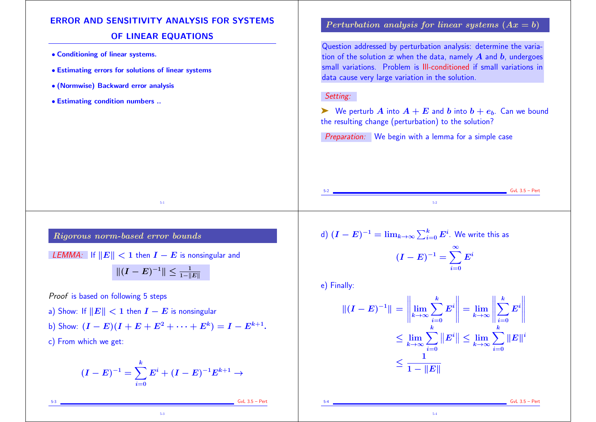# ERROR AND SENSITIVITY ANALYSIS FOR SYSTEMS

## OF LINEAR EQUATIONS

- Conditioning of linear systems.
- Estimating errors for solutions of linear systems
- (Normwise) Backward error analysis
- Estimating condition numbers ..

### Perturbation analysis for linear systems  $(Ax = b)$

Question addressed by perturbation analysis: determine the variation of the solution  $x$  when the data, namely  $A$  and  $b$ , undergoes small variations. Problem is Ill-conditioned if small variations in data cause very large variation in the solution.

#### Setting:

 $\triangleright$  We perturb A into  $A + E$  and b into  $b + e_b$ . Can we bound the resulting change (perturbation) to the solution?

Preparation: We begin with a lemma for a simple case

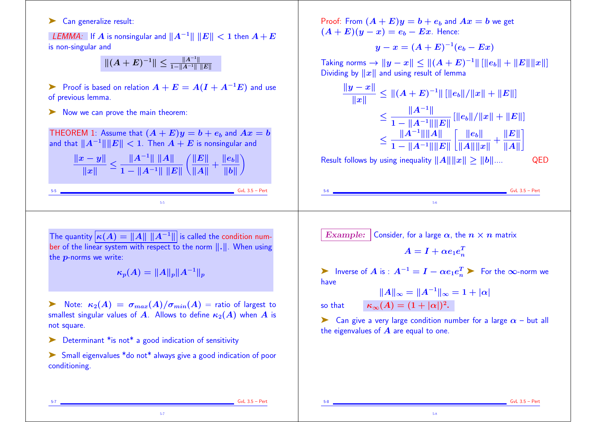#### ► Can generalize result:

LEMMA: If A is nonsingular and  $||A^{-1}|| ||E|| < 1$  then  $A + E$ is non-singular and

 $\|(A+E)^{-1}\|\leq\frac{\|A^{-1}\|}{1-\|A^{-1}\|\;\|E\|}$ 

► Proof is based on relation  $A + E = A(I + A^{-1}E)$  and use of previous lemma.

➤ Now we can prove the main theorem:

THEOREM 1: Assume that  $(A + E)y = b + e_b$  and  $Ax = b$ and that  $||A^{-1}|| ||E|| < 1$ . Then  $A + E$  is nonsingular and

> $\frac{\|x-y\|}{\|x\|}$  $\frac{1}{\|x\|}$   $\geq \frac{1}{1}$  $\|A^{-1}\|\ \|A\|$  $1-\|A^{-1}\|\;\|E\|$  $\Big(\frac{\|E\|}{\|E\|}\Big)$  $\frac{1}{\|A\|} + \frac{1}{\|}$  $||e_b||$  $\|b\|$  )  $\sum$

> > 5-5

Proof: From  $(A + E)y = b + e_b$  and  $Ax = b$  we get  $(A + E)(y - x) = e<sub>b</sub> - Ex$ . Hence:

$$
y-x=(A+E)^{-1}(e_b-Ex)\\
$$

Taking norms  $\rightarrow$   $||y - x||$   $\leq$   $||(A + E)^{-1}||$   $[||e_b|| + ||E|| ||x||]$ Dividing by  $||x||$  and using result of lemma

$$
\frac{\|y-x\|}{\|x\|} \le \| (A+E)^{-1} \| \left[ \|e_b\| / \|x\| + \|E\| \right] \le \frac{\|A^{-1}\|}{1 - \|A^{-1}\| \|E\|} \left[ \|e_b\| / \|x\| + \|E\| \right] \le \frac{\|A^{-1}\| \|A\|}{1 - \|A^{-1}\| \|A\|} \left[ \frac{\|e_b\|}{\|A\| \|x\|} + \frac{\|E\|}{\|A\|} \right]
$$

Result follows by using inequality  $||A|| ||x|| > ||b||...$  QED

5-6

The quantity  $\kappa(A) = ||A|| ||A^{-1}||$  is called the condition number of the linear system with respect to the norm  $\|\cdot\|$ . When using the p-norms we write:

 $\kappa_n(A) = ||A||_n ||A^{-1}||_n$ 

 $\triangleright$  Note:  $\kappa_2(A) = \sigma_{max}(A)/\sigma_{min}(A)$  = ratio of largest to smallest singular values of A. Allows to define  $\kappa_2(A)$  when A is not square.

➤ Determinant \*is not\* a good indication of sensitivity

➤ Small eigenvalues \*do not\* always give a good indication of poor conditioning.

5-7

Example: Consider, for a large  $\alpha$ , the  $n \times n$  matrix

$$
A = I + \alpha e_1 e_n^T
$$

 $\triangleright$  Inverse of A is :  $A^{-1} = I - \alpha e_1 e_n^T$   $\triangleright$  For the  $\infty$ -norm we have

 $||A||_{\infty} = ||A^{-1}||_{\infty} = 1 + |\alpha|$ so that  $\kappa_{\infty}(A) = (1 + |\alpha|)^2$ .

 $\triangleright$  Can give a very large condition number for a large  $\alpha$  – but all the eigenvalues of  $\boldsymbol{A}$  are equal to one.

5-8

 $GvL$  3.5 – Pert

 $GvL$  3.5 – Pert

 $GvL$  3.5 – Pert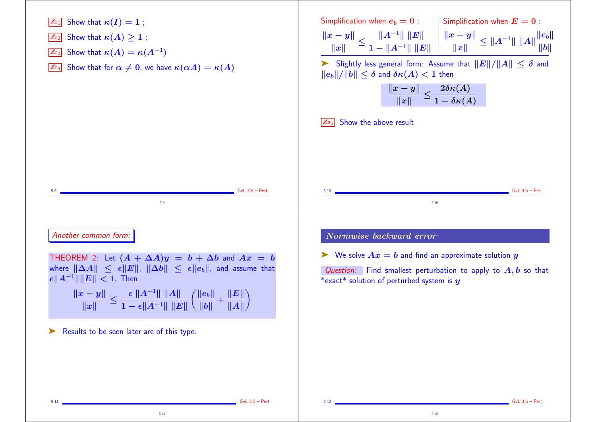

5-12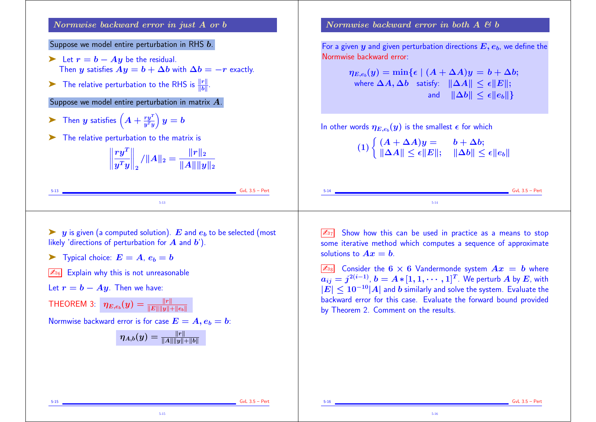Normwise backward error in just A or b

Suppose we model entire perturbation in RHS b.

- Example 1 Let  $r = b Ay$  be the residual. Then y satisfies  $Ay = b + \Delta b$  with  $\Delta b = -r$  exactly.
- ▶ The relative perturbation to the RHS is  $\frac{\Vert r \Vert}{\Vert b \Vert}$ .

Suppose we model entire perturbation in matrix A.

- ▶ Then  $y$  satisfies  $\left(A + \frac{ry^T}{y^T y}\right)$  $\bm{y^T}\bm{y}$  )  $\big) \, y = b$
- ➤ The relative perturbation to the matrix is

 $\left\| \frac{r}{y} \right\|$  $\boldsymbol{r}\boldsymbol{y^T} |$  $\bm{y^T}\bm{y} \Vert$  $\bigg\|_2$  $\sqrt{\|\mathbf{A}\|_2} = \frac{1}{\|\mathbf{A}\|_2}$  $\|\bm{r}\|_2$  $\Vert A\Vert \Vert y\Vert_2$ 

5-13 GvL 3.5 – Pert 5-13

.

Normwise backward error in both  $A \notin b$ 

For a given  $y$  and given perturbation directions  $E, e_b$ , we define the Normwise backward error:

|          | $\eta_{E,e_b}(y) = \min\{\epsilon \mid (A + \Delta A)y = b + \Delta b;$<br>where $\Delta A, \Delta b$ satisfy: $\ \Delta A\  \leq \epsilon \ E\ $ ;                                                                    | and $\ \Delta b\  \leq \epsilon \ e_h\ $ |                  |
|----------|------------------------------------------------------------------------------------------------------------------------------------------------------------------------------------------------------------------------|------------------------------------------|------------------|
|          | In other words $\eta_{E,e_b}(y)$ is the smallest $\epsilon$ for which<br>(1) $\begin{cases} (A + \Delta A)y = b + \Delta b; \\ \ \Delta A\  \leq \epsilon \ E\ ; \quad \ \Delta b\  \leq \epsilon \ e_b\  \end{cases}$ |                                          |                  |
| $5 - 14$ |                                                                                                                                                                                                                        |                                          | $GvL$ 3.5 – Pert |

 $\triangleright$  y is given (a computed solution). E and  $e<sub>b</sub>$  to be selected (most likely 'directions of perturbation for  $A$  and  $b'$ ).

 $\blacktriangleright$  Typical choice:  $E = A$ ,  $e_b = b$ 

 $\sqrt{\mathbb{Z}_{06}}$  Explain why this is not unreasonable

Let  $r = b - Ay$ . Then we have:

THEOREM 3:  $\eta_{E,e_b}(y) = \frac{\|r\|}{\|E\| \|y\| + \|e_b\|}$ 

Normwise backward error is for case  $E = A, e_b = b$ :

$$
\eta_{A,b}(y)=\tfrac{\|r\|}{\|A\|\|y\|+\|b\|}
$$

5-15

 $\sqrt{\mathbb{Z}_{27}}$  Show how this can be used in practice as a means to stop some iterative method which computes a sequence of approximate solutions to  $Ax = b$ .

5-14

 $\boxed{\mathbb{Z}_{\text{B}}}$  Consider the 6  $\times$  6 Vandermonde system  $Ax = b$  where  $a_{ij} = j^{2(i-1)}, b = A * [1, 1, \cdots, 1]^T$ . We perturb  $A$  by  $E$ , with  $|\mathbf{E}| \leq 10^{-10} |\mathbf{A}|$  and b similarly and solve the system. Evaluate the backward error for this case. Evaluate the forward bound provided by Theorem 2. Comment on the results.

5-16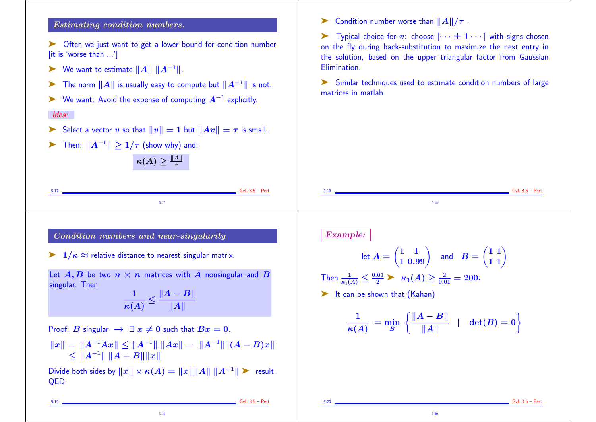#### Estimating condition numbers.

➤ Often we just want to get a lower bound for condition number [it is 'worse than ...']

- ► We want to estimate  $||A|| ||A^{-1}||$ .
- ► The norm  $||A||$  is usually easy to compute but  $||A^{-1}||$  is not.
- $\triangleright$  We want: Avoid the expense of computing  $A^{-1}$  explicitly.

#### Idea:

- Select a vector v so that  $||v|| = 1$  but  $||Av|| = \tau$  is small.
- ► Then:  $||A^{-1}|| \geq 1/\tau$  (show why) and:

| A  <br>$\kappa(A)$ |
|--------------------|
|--------------------|

5-17 GvL 3.5 – Pert

5-19

 $\triangleright$  Condition number worse than  $||A||/\tau$ .

Typical choice for v: choose  $\cdots \pm 1 \cdots$  with signs chosen on the fly during back-substitution to maximize the next entry in the solution, based on the upper triangular factor from Gaussian Elimination.

➤ Similar techniques used to estimate condition numbers of large matrices in matlab.

5-20



5-19 GvL 3.5 – Pert

 $GvL$  3.5 – Pert